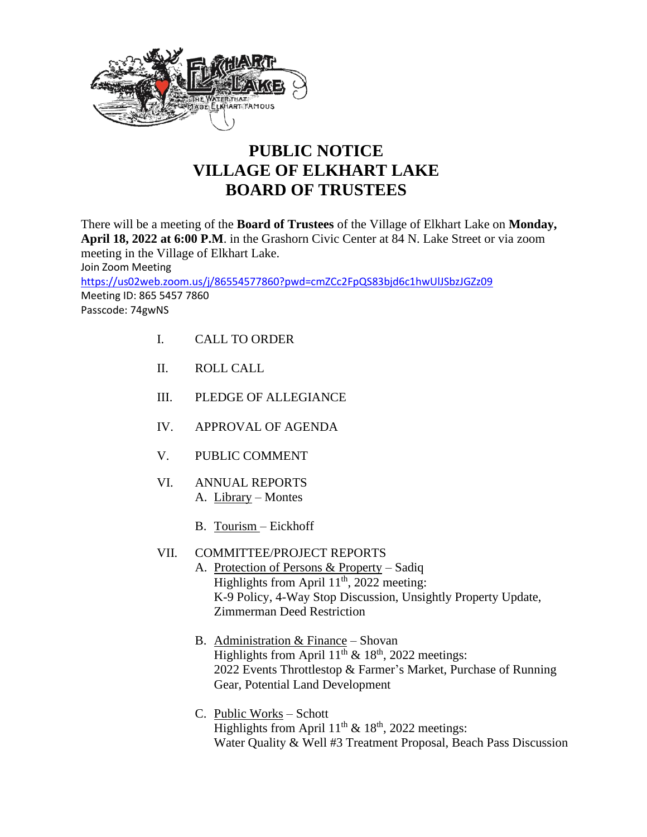

## **PUBLIC NOTICE VILLAGE OF ELKHART LAKE BOARD OF TRUSTEES**

There will be a meeting of the **Board of Trustees** of the Village of Elkhart Lake on **Monday, April 18, 2022 at 6:00 P.M**. in the Grashorn Civic Center at 84 N. Lake Street or via zoom meeting in the Village of Elkhart Lake. Join Zoom Meeting <https://us02web.zoom.us/j/86554577860?pwd=cmZCc2FpQS83bjd6c1hwUlJSbzJGZz09> Meeting ID: 865 5457 7860 Passcode: 74gwNS

- I. CALL TO ORDER
- II. ROLL CALL
- III. PLEDGE OF ALLEGIANCE
- IV. APPROVAL OF AGENDA
- V. PUBLIC COMMENT
- VI. ANNUAL REPORTS A. Library – Montes
	- B. Tourism Eickhoff
- VII. COMMITTEE/PROJECT REPORTS
	- A. Protection of Persons & Property Sadiq Highlights from April  $11<sup>th</sup>$ , 2022 meeting: K-9 Policy, 4-Way Stop Discussion, Unsightly Property Update, Zimmerman Deed Restriction
		- B. Administration  $&$  Finance Shovan Highlights from April  $11<sup>th</sup>$  &  $18<sup>th</sup>$ , 2022 meetings: 2022 Events Throttlestop & Farmer's Market, Purchase of Running Gear, Potential Land Development
		- C. Public Works Schott Highlights from April  $11<sup>th</sup>$  &  $18<sup>th</sup>$ , 2022 meetings: Water Quality & Well #3 Treatment Proposal, Beach Pass Discussion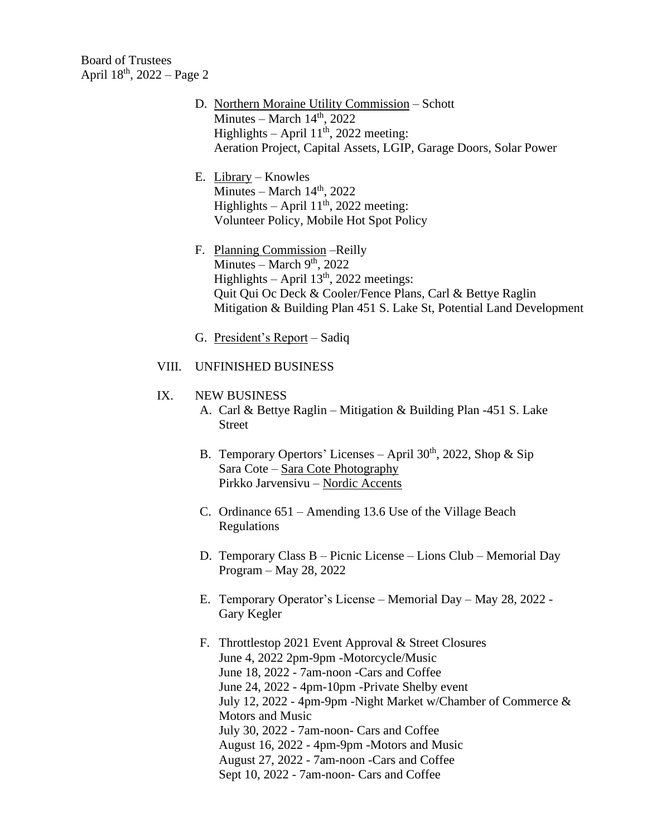Board of Trustees April 18th, 2022 – Page 2

- D. Northern Moraine Utility Commission Schott Minutes – March  $14<sup>th</sup>$ , 2022 Highlights – April  $11<sup>th</sup>$ , 2022 meeting: Aeration Project, Capital Assets, LGIP, Garage Doors, Solar Power
- E. Library Knowles Minutes – March  $14<sup>th</sup>$ , 2022 Highlights – April  $11<sup>th</sup>$ , 2022 meeting: Volunteer Policy, Mobile Hot Spot Policy
- F. Planning Commission –Reilly Minutes – March  $9<sup>th</sup>$ , 2022 Highlights – April  $13<sup>th</sup>$ , 2022 meetings: Quit Qui Oc Deck & Cooler/Fence Plans, Carl & Bettye Raglin Mitigation & Building Plan 451 S. Lake St, Potential Land Development
- G. President's Report Sadiq

## VIII. UNFINISHED BUSINESS

## IX. NEW BUSINESS

- A. Carl & Bettye Raglin Mitigation & Building Plan -451 S. Lake Street
- B. Temporary Opertors' Licenses April  $30<sup>th</sup>$ , 2022, Shop & Sip Sara Cote – Sara Cote Photography Pirkko Jarvensivu – Nordic Accents
- C. Ordinance 651 Amending 13.6 Use of the Village Beach Regulations
- D. Temporary Class B Picnic License Lions Club Memorial Day Program – May 28, 2022
- E. Temporary Operator's License Memorial Day May 28, 2022 Gary Kegler
- F. Throttlestop 2021 Event Approval & Street Closures June 4, 2022 2pm-9pm -Motorcycle/Music June 18, 2022 - 7am-noon -Cars and Coffee June 24, 2022 - 4pm-10pm -Private Shelby event July 12, 2022 - 4pm-9pm -Night Market w/Chamber of Commerce & Motors and Music July 30, 2022 - 7am-noon- Cars and Coffee August 16, 2022 - 4pm-9pm -Motors and Music August 27, 2022 - 7am-noon -Cars and Coffee Sept 10, 2022 - 7am-noon- Cars and Coffee